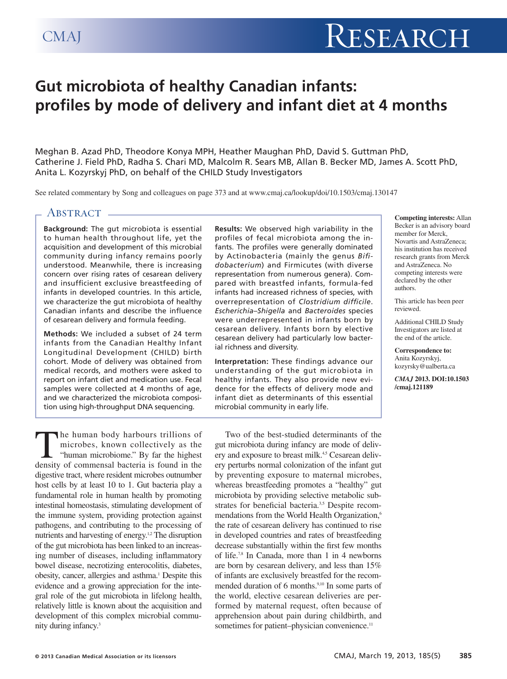# **Gut microbiota of healthy Canadian infants: profiles by mode of delivery and infant diet at 4 months**

Meghan B. Azad PhD, Theodore Konya MPH, Heather Maughan PhD, David S. Guttman PhD, Catherine J. Field PhD, Radha S. Chari MD, Malcolm R. Sears MB, Allan B. Becker MD, James A. Scott PhD, Anita L. Kozyrskyj PhD, on behalf of the CHILD Study Investigators

See related commentary by Song and colleagues on page 373 and at www.cmaj.ca/lookup/doi/10.1503/cmaj.130147

## ABSTRACT -

**Background:** The gut microbiota is essential to human health throughout life, yet the acquisition and development of this microbial community during infancy remains poorly understood. Meanwhile, there is increasing concern over rising rates of cesarean delivery and insufficient exclusive breastfeeding of infants in developed countries. In this article, we characterize the gut microbiota of healthy Canadian infants and describe the influence of cesarean delivery and formula feeding.

**Methods:** We included a subset of 24 term infants from the Canadian Healthy Infant Longitudinal Development (CHILD) birth cohort. Mode of delivery was obtained from medical records, and mothers were asked to report on infant diet and medication use. Fecal samples were collected at 4 months of age, and we characterized the microbiota composition using high-throughput DNA sequencing.

**Results:** We observed high variability in the profiles of fecal microbiota among the infants. The profiles were generally dominated by Actinobacteria (mainly the genus *Bifidobacterium*) and Firmicutes (with diverse representation from numerous genera). Compared with breastfed infants, formula-fed infants had increased richness of species, with overrepresentation of *Clostridium difficile*. *Escherichia–Shigella* and *Bacteroides* species were underrepresented in infants born by cesarean delivery. Infants born by elective cesarean delivery had particularly low bacterial richness and diversity.

**Interpretation:** These findings advance our understanding of the gut microbiota in healthy infants. They also provide new evidence for the effects of delivery mode and infant diet as determinants of this essential microbial community in early life.

The human body harbours trillions of microbes, known collectively as the "human microbiome." By far the highest density of commensal bacteria is found in the digestive tract, where resident microbes outnumber host cells by at least 10 to 1. Gut bacteria play a fundamental role in human health by promoting intestinal homeostasis, stimulating development of the immune system, providing protection against pathogens, and contributing to the processing of nutrients and harvesting of energy.<sup>1,2</sup> The disruption of the gut microbiota has been linked to an increasing number of diseases, including inflammatory bowel disease, necrotizing enterocolitis, diabetes, obesity, cancer, allergies and asthma. <sup>1</sup> Despite this evidence and a growing appreciation for the integral role of the gut microbiota in lifelong health, relatively little is known about the acquisition and development of this complex microbial commu-

Two of the best-studied determinants of the gut microbiota during infancy are mode of delivery and exposure to breast milk.<sup>4,5</sup> Cesarean delivery perturbs normal colonization of the infant gut by preventing exposure to maternal microbes, whereas breastfeeding promotes a "healthy" gut microbiota by providing selective metabolic substrates for beneficial bacteria.<sup>3,5</sup> Despite recommendations from the World Health Organization, 6 the rate of cesarean delivery has continued to rise in developed countries and rates of breastfeeding decrease substantially within the first few months of life. 7,8 In Canada, more than 1 in 4 newborns are born by cesarean delivery, and less than 15% of infants are exclusively breastfed for the recommended duration of 6 months.<sup>9,10</sup> In some parts of the world, elective cesarean deliveries are performed by maternal request, often because of apprehension about pain during childbirth, and sometimes for patient-physician convenience.<sup>11</sup>

## **Competing interests:** Allan

Becker is an advisory board member for Merck, Novartis and AstraZeneca; his institution has received research grants from Merck and AstraZeneca. No competing interests were declared by the other authors.

This article has been peer reviewed.

Additional CHILD Study Investigators are listed at the end of the article.

**Correspondence to:** Anita Kozyrskyj, kozyrsky@ualberta.ca

*CMAJ* **2013. DOI:10.1503 /cmaj.121189**

nity during infancy. 3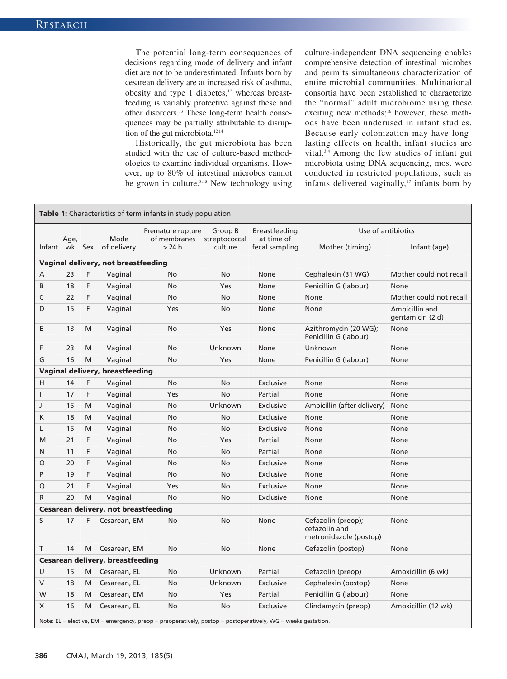The potential long-term consequences of decisions regarding mode of delivery and infant diet are not to be underestimated. Infants born by cesarean delivery are at increased risk of asthma, obesity and type 1 diabetes, <sup>12</sup> whereas breastfeeding is variably protective against these and other disorders. <sup>13</sup> These long-term health consequences may be partially attributable to disruption of the gut microbiota. 12,14

Historically, the gut microbiota has been studied with the use of culture-based methodologies to examine individual organisms. However, up to 80% of intestinal microbes cannot be grown in culture. 3,15 New technology using

culture-independent DNA sequencing enables comprehensive detection of intestinal microbes and permits simultaneous characterization of entire microbial communities. Multinational consortia have been established to characterize the "normal" adult microbiome using these exciting new methods; <sup>16</sup> however, these methods have been underused in infant studies. Because early colonization may have longlasting effects on health, infant studies are vital. 3,4 Among the few studies of infant gut microbiota using DNA sequencing, most were conducted in restricted populations, such as infants delivered vaginally, <sup>17</sup> infants born by

| <b>Table 1:</b> Characteristics of term infants in study population                                          |      |   |                                   |                      |                          |                              |                                                               |                                    |
|--------------------------------------------------------------------------------------------------------------|------|---|-----------------------------------|----------------------|--------------------------|------------------------------|---------------------------------------------------------------|------------------------------------|
|                                                                                                              |      |   |                                   | Premature rupture    | Group B                  | <b>Breastfeeding</b>         | Use of antibiotics                                            |                                    |
|                                                                                                              | Age, |   | Mode<br>Infant wk Sex of delivery | of membranes<br>>24h | streptococcal<br>culture | at time of<br>fecal sampling | Mother (timing)                                               | Infant (age)                       |
| Vaginal delivery, not breastfeeding                                                                          |      |   |                                   |                      |                          |                              |                                                               |                                    |
| A                                                                                                            | 23   | F | Vaginal                           | No                   | <b>No</b>                | None                         | Cephalexin (31 WG)                                            | Mother could not recall            |
| B                                                                                                            | 18   | F | Vaginal                           | <b>No</b>            | Yes                      | None                         | Penicillin G (labour)                                         | None                               |
| C                                                                                                            | 22   | F | Vaginal                           | No                   | No                       | None                         | None                                                          | Mother could not recall            |
| D                                                                                                            | 15   | F | Vaginal                           | Yes                  | No                       | None                         | None                                                          | Ampicillin and<br>gentamicin (2 d) |
| Ε                                                                                                            | 13   | M | Vaginal                           | No                   | Yes                      | None                         | Azithromycin (20 WG);<br>Penicillin G (labour)                | None                               |
| F                                                                                                            | 23   | M | Vaginal                           | No                   | Unknown                  | None                         | Unknown                                                       | None                               |
| G                                                                                                            | 16   | M | Vaginal                           | No                   | Yes                      | None                         | Penicillin G (labour)                                         | None                               |
| <b>Vaginal delivery, breastfeeding</b>                                                                       |      |   |                                   |                      |                          |                              |                                                               |                                    |
| н                                                                                                            | 14   | F | Vaginal                           | No                   | No                       | Exclusive                    | None                                                          | None                               |
| $\mathbf{I}$                                                                                                 | 17   | F | Vaginal                           | Yes                  | <b>No</b>                | Partial                      | None                                                          | None                               |
| J                                                                                                            | 15   | M | Vaginal                           | No                   | Unknown                  | Exclusive                    | Ampicillin (after delivery)                                   | None                               |
| K                                                                                                            | 18   | M | Vaginal                           | No                   | <b>No</b>                | Exclusive                    | None                                                          | None                               |
| L                                                                                                            | 15   | M | Vaginal                           | No                   | No                       | Exclusive                    | None                                                          | None                               |
| M                                                                                                            | 21   | F | Vaginal                           | No                   | Yes                      | Partial                      | None                                                          | None                               |
| N                                                                                                            | 11   | F | Vaginal                           | No                   | No                       | Partial                      | None                                                          | None                               |
| O                                                                                                            | 20   | F | Vaginal                           | No                   | <b>No</b>                | Exclusive                    | None                                                          | None                               |
| P                                                                                                            | 19   | F | Vaginal                           | No                   | No                       | Exclusive                    | None                                                          | None                               |
| Q                                                                                                            | 21   | F | Vaginal                           | Yes                  | <b>No</b>                | Exclusive                    | None                                                          | None                               |
| R                                                                                                            | 20   | M | Vaginal                           | No                   | <b>No</b>                | Exclusive                    | None                                                          | None                               |
| Cesarean delivery, not breastfeeding                                                                         |      |   |                                   |                      |                          |                              |                                                               |                                    |
| S                                                                                                            | 17   | F | Cesarean, EM                      | No                   | No                       | None                         | Cefazolin (preop);<br>cefazolin and<br>metronidazole (postop) | None                               |
| $\mathsf{T}$                                                                                                 | 14   | M | Cesarean, EM                      | <b>No</b>            | <b>No</b>                | None                         | Cefazolin (postop)                                            | None                               |
| <b>Cesarean delivery, breastfeeding</b>                                                                      |      |   |                                   |                      |                          |                              |                                                               |                                    |
| U                                                                                                            | 15   | M | Cesarean, EL                      | No                   | Unknown                  | Partial                      | Cefazolin (preop)                                             | Amoxicillin (6 wk)                 |
| $\vee$                                                                                                       | 18   | M | Cesarean, EL                      | No                   | Unknown                  | Exclusive                    | Cephalexin (postop)                                           | None                               |
| W                                                                                                            | 18   | M | Cesarean, EM                      | <b>No</b>            | Yes                      | Partial                      | Penicillin G (labour)                                         | None                               |
| $\times$                                                                                                     | 16   | M | Cesarean, EL                      | <b>No</b>            | <b>No</b>                | Exclusive                    | Clindamycin (preop)                                           | Amoxicillin (12 wk)                |
| Note: EL = elective, EM = emergency, preop = preoperatively, postop = postoperatively, WG = weeks gestation. |      |   |                                   |                      |                          |                              |                                                               |                                    |

**386** CMAJ, March 19, 2013, 185(5)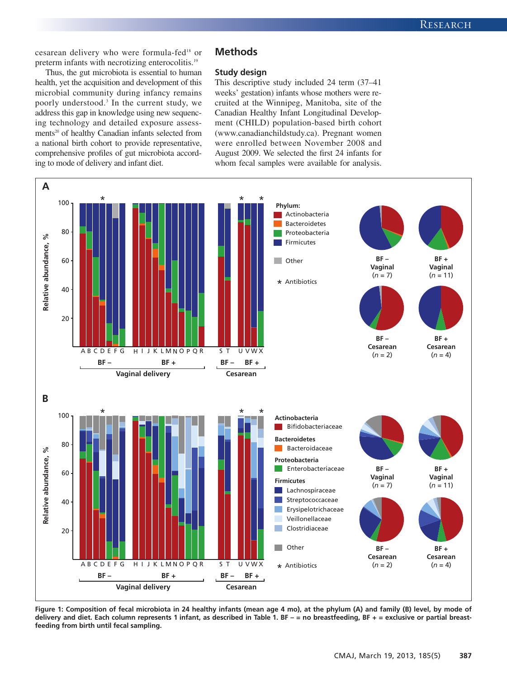cesarean delivery who were formula-fed18 or preterm infants with necrotizing enterocolitis.<sup>19</sup>

Thus, the gut microbiota is essential to human health, yet the acquisition and development of this microbial community during infancy remains poorly understood. <sup>3</sup> In the current study, we address this gap in knowledge using new sequencing technology and detailed exposure assessments<sup>20</sup> of healthy Canadian infants selected from a national birth cohort to provide representative, comprehensive profiles of gut microbiota according to mode of delivery and infant diet.

### **Methods**

#### **Study design**

This descriptive study included 24 term (37–41 weeks' gestation) infants whose mothers were recruited at the Winnipeg, Manitoba, site of the Canadian Healthy Infant Longitudinal Development (CHILD) population-based birth cohort (www.canadianchildstudy.ca). Pregnant women were enrolled between November 2008 and August 2009. We selected the first 24 infants for whom fecal samples were available for analysis.



Figure 1: Composition of fecal microbiota in 24 healthy infants (mean age 4 mo), at the phylum (A) and family (B) level, by mode of delivery and diet. Each column represents 1 infant, as described in Table 1. BF - = no breastfeeding, BF + = exclusive or partial breast**feeding from birth until fecal sampling.**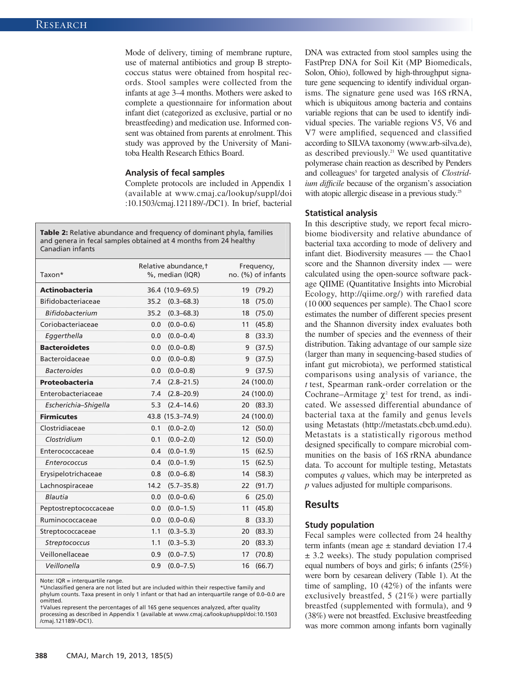Mode of delivery, timing of membrane rupture, use of maternal antibiotics and group B streptococcus status were obtained from hospital records. Stool samples were collected from the infants at age 3–4 months. Mothers were asked to complete a questionnaire for information about infant diet (categorized as exclusive, partial or no breastfeeding) and medication use. Informed consent was obtained from parents at enrolment. This study was approved by the University of Manitoba Health Research Ethics Board.

#### **Analysis of fecal samples**

Complete protocols are included in Appendix 1 (available at www.cmaj.ca/lookup/suppl/doi :10.1503/cmaj.121189/-/DC1). In brief, bacterial

**Table 2:** Relative abundance and frequency of dominant phyla, families and genera in fecal samples obtained at 4 months from 24 healthy Canadian infants

| Taxon*                | Relative abundance, t<br>%, median (IQR) | Frequency,<br>no. (%) of infants |           |            |
|-----------------------|------------------------------------------|----------------------------------|-----------|------------|
| <b>Actinobacteria</b> | 36.4 (10.9–69.5)                         |                                  | 19 (79.2) |            |
| Bifidobacteriaceae    | 35.2                                     | $(0.3 - 68.3)$                   | 18        | (75.0)     |
| Bifidobacterium       | 35.2                                     | $(0.3 - 68.3)$                   | 18        | (75.0)     |
| Coriobacteriaceae     | 0.0                                      | $(0.0 - 0.6)$                    | 11        | (45.8)     |
| Eggerthella           | 0.0                                      | $(0.0 - 0.4)$                    | 8         | (33.3)     |
| <b>Bacteroidetes</b>  | 0.0                                      | $(0.0 - 0.8)$                    | 9         | (37.5)     |
| <b>Bacteroidaceae</b> | 0.0                                      | $(0.0 - 0.8)$                    | 9         | (37.5)     |
| <b>Bacteroides</b>    | 0.0                                      | $(0.0 - 0.8)$                    | 9         | (37.5)     |
| Proteobacteria        | 7.4                                      | $(2.8 - 21.5)$                   |           | 24 (100.0) |
| Enterobacteriaceae    | 7.4                                      | $(2.8 - 20.9)$                   |           | 24 (100.0) |
| Escherichia-Shigella  | 5.3                                      | $(2.4 - 14.6)$                   | 20        | (83.3)     |
| <b>Firmicutes</b>     |                                          | 43.8 (15.3-74.9)                 |           | 24 (100.0) |
| Clostridiaceae        | 0.1                                      | $(0.0 - 2.0)$                    | 12        | (50.0)     |
| Clostridium           | 0.1                                      | $(0.0 - 2.0)$                    | 12        | (50.0)     |
| Enterococcaceae       | 0.4                                      | $(0.0 - 1.9)$                    | 15        | (62.5)     |
| Enterococcus          | 0.4                                      | $(0.0 - 1.9)$                    | 15        | (62.5)     |
| Erysipelotrichaceae   | 0.8                                      | $(0.0 - 6.8)$                    | 14        | (58.3)     |
| Lachnospiraceae       | 14.2                                     | $(5.7 - 35.8)$                   | 22        | (91.7)     |
| <b>Blautia</b>        | 0.0                                      | $(0.0 - 0.6)$                    | 6         | (25.0)     |
| Peptostreptococcaceae | 0.0                                      | $(0.0 - 1.5)$                    | 11        | (45.8)     |
| Ruminococcaceae       | 0.0                                      | $(0.0 - 0.6)$                    | 8         | (33.3)     |
| Streptococcaceae      | 1.1                                      | $(0.3 - 5.3)$                    | 20        | (83.3)     |
| <b>Streptococcus</b>  | 1.1                                      | $(0.3 - 5.3)$                    | 20        | (83.3)     |
| Veillonellaceae       | 0.9                                      | $(0.0 - 7.5)$                    | 17        | (70.8)     |
| Veillonella           | 0.9                                      | $(0.0 - 7.5)$                    | 16        | (66.7)     |

Note: IQR = interquartile range.

\*Unclassified genera are not listed but are included within their respective family and phylum counts. Taxa present in only 1 infant or that had an interquartile range of 0.0–0.0 are omitted.

†Values represent the percentages of all 16S gene sequences analyzed, after quality processing as described in Appendix 1 (available at www.cmaj.ca/lookup/suppl/doi:10.1503 /cmaj.121189/-/DC1).

DNA was extracted from stool samples using the FastPrep DNA for Soil Kit (MP Biomedicals, Solon, Ohio), followed by high-throughput signature gene sequencing to identify individual organisms. The signature gene used was 16S rRNA, which is ubiquitous among bacteria and contains variable regions that can be used to identify individual species. The variable regions V5, V6 and V7 were amplified, sequenced and classified according to SILVA taxonomy (www.arb-silva.de), as described previously. <sup>21</sup> We used quantitative polymerase chain reaction as described by Penders and colleagues<sup>5</sup> for targeted analysis of *Clostridium difficile* because of the organism's association with atopic allergic disease in a previous study.<sup>25</sup>

#### **Statistical analysis**

In this descriptive study, we report fecal microbiome biodiversity and relative abundance of bacterial taxa according to mode of delivery and infant diet. Biodiversity measures — the Chao1 score and the Shannon diversity index — were calculated using the open-source software package QIIME (Quantitative Insights into Microbial Ecology, http://qiime.org/) with rarefied data (10 000 sequences per sample). The Chao1 score estimates the number of different species present and the Shannon diversity index evaluates both the number of species and the evenness of their distribution. Taking advantage of our sample size (larger than many in sequencing-based studies of infant gut microbiota), we performed statistical comparisons using analysis of variance, the *t* test, Spearman rank-order correlation or the Cochrane–Armitage  $\chi^2$  test for trend, as indicated. We assessed differential abundance of bacterial taxa at the family and genus levels using Metastats (http://metastats.cbcb.umd.edu). Metastats is a statistically rigorous method designed specifically to compare microbial communities on the basis of 16S rRNA abundance data. To account for multiple testing, Metastats computes *q* values, which may be interpreted as *p* values adjusted for multiple comparisons.

#### **Results**

#### **Study population**

Fecal samples were collected from 24 healthy term infants (mean age  $\pm$  standard deviation 17.4  $\pm$  3.2 weeks). The study population comprised equal numbers of boys and girls; 6 infants (25%) were born by cesarean delivery (Table 1). At the time of sampling, 10 (42%) of the infants were exclusively breastfed, 5 (21%) were partially breastfed (supplemented with formula), and 9 (38%) were not breastfed. Exclusive breastfeeding was more common among infants born vaginally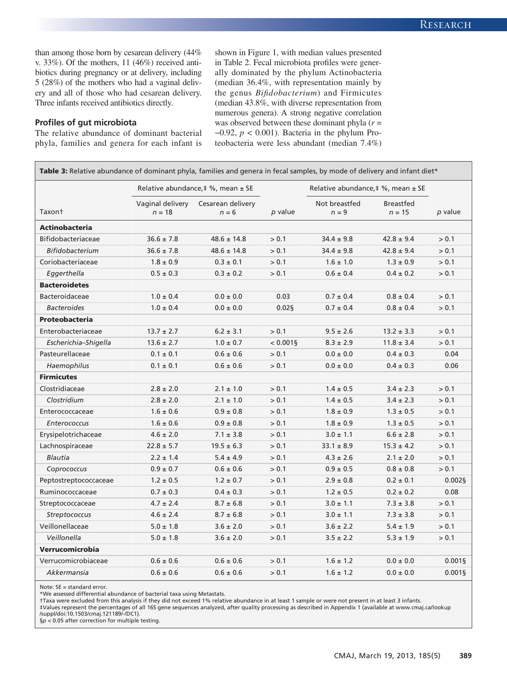than among those born by cesarean delivery (44% v. 33%). Of the mothers, 11 (46%) received antibiotics during pregnancy or at delivery, including 5 (28%) of the mothers who had a vaginal delivery and all of those who had cesarean delivery. Three infants received antibiotics directly.

#### **Profiles of gut microbiota**

The relative abundance of dominant bacterial phyla, families and genera for each infant is shown in Figure 1, with median values presented in Table 2. Fecal microbiota profiles were generally dominated by the phylum Actinobacteria (median 36.4%, with representation mainly by the genus *Bifidobacterium*) and Firmicutes (median 43.8%, with diverse representation from numerous genera). A strong negative correlation was observed between these dominant phyla (*r* = −0.92, *p* < 0.001). Bacteria in the phylum Proteobacteria were less abundant (median 7.4%)

| Table 3: Relative abundance of dominant phyla, families and genera in fecal samples, by mode of delivery and infant diet* |                                                    |                              |             |                                                          |                |           |  |
|---------------------------------------------------------------------------------------------------------------------------|----------------------------------------------------|------------------------------|-------------|----------------------------------------------------------|----------------|-----------|--|
|                                                                                                                           | Relative abundance, $\frac{1}{2}$ %, mean $\pm$ SE |                              |             | Relative abundance, # %, mean ± SE                       |                |           |  |
| Taxont                                                                                                                    | Vaginal delivery<br>$n = 18$                       | Cesarean delivery<br>$n = 6$ | p value     | Not breastfed<br><b>Breastfed</b><br>$n = 15$<br>$n = 9$ |                | p value   |  |
| <b>Actinobacteria</b>                                                                                                     |                                                    |                              |             |                                                          |                |           |  |
| Bifidobacteriaceae                                                                                                        | $36.6 \pm 7.8$                                     | $48.6 \pm 14.8$              | > 0.1       | $34.4 \pm 9.8$                                           | $42.8 \pm 9.4$ | > 0.1     |  |
| Bifidobacterium                                                                                                           | $36.6 \pm 7.8$                                     | $48.6 \pm 14.8$              | > 0.1       | $34.4 \pm 9.8$                                           | $42.8 \pm 9.4$ | > 0.1     |  |
| Coriobacteriaceae                                                                                                         | $1.8 \pm 0.9$                                      | $0.3 \pm 0.1$                | > 0.1       | $1.6 \pm 1.0$                                            | $1.3 \pm 0.9$  | > 0.1     |  |
| Eggerthella                                                                                                               | $0.5 \pm 0.3$                                      | $0.3 \pm 0.2$                | > 0.1       | $0.6 \pm 0.4$                                            | $0.4 \pm 0.2$  | > 0.1     |  |
| <b>Bacteroidetes</b>                                                                                                      |                                                    |                              |             |                                                          |                |           |  |
| Bacteroidaceae                                                                                                            | $1.0 \pm 0.4$                                      | $0.0 \pm 0.0$                | 0.03        | $0.7 \pm 0.4$                                            | $0.8 \pm 0.4$  | > 0.1     |  |
| <b>Bacteroides</b>                                                                                                        | $1.0 \pm 0.4$                                      | $0.0 \pm 0.0$                | $0.02$ §    | $0.7 \pm 0.4$                                            | $0.8 \pm 0.4$  | > 0.1     |  |
| Proteobacteria                                                                                                            |                                                    |                              |             |                                                          |                |           |  |
| Enterobacteriaceae                                                                                                        | $13.7 \pm 2.7$                                     | $6.2 \pm 3.1$                | > 0.1       | $9.5 \pm 2.6$                                            | $13.2 \pm 3.3$ | > 0.1     |  |
| Escherichia-Shigella                                                                                                      | $13.6 \pm 2.7$                                     | $1.0 \pm 0.7$                | $< 0.001$ § | $8.3 \pm 2.9$                                            | $11.8 \pm 3.4$ | > 0.1     |  |
| Pasteurellaceae                                                                                                           | $0.1 \pm 0.1$                                      | $0.6 \pm 0.6$                | > 0.1       | $0.0 \pm 0.0$                                            | $0.4 \pm 0.3$  | 0.04      |  |
| Haemophilus                                                                                                               | $0.1 \pm 0.1$                                      | $0.6 \pm 0.6$                | > 0.1       | $0.0 \pm 0.0$                                            | $0.4 \pm 0.3$  | 0.06      |  |
| <b>Firmicutes</b>                                                                                                         |                                                    |                              |             |                                                          |                |           |  |
| Clostridiaceae                                                                                                            | $2.8 \pm 2.0$                                      | $2.1 \pm 1.0$                | > 0.1       | $1.4 \pm 0.5$                                            | $3.4 \pm 2.3$  | > 0.1     |  |
| Clostridium                                                                                                               | $2.8 \pm 2.0$                                      | $2.1 \pm 1.0$                | > 0.1       | $1.4 \pm 0.5$                                            | $3.4 \pm 2.3$  | > 0.1     |  |
| Enterococcaceae                                                                                                           | $1.6 \pm 0.6$                                      | $0.9 \pm 0.8$                | > 0.1       | $1.8 \pm 0.9$                                            | $1.3 \pm 0.5$  | > 0.1     |  |
| <b>Enterococcus</b>                                                                                                       | $1.6 \pm 0.6$                                      | $0.9 \pm 0.8$                | > 0.1       | $1.8 \pm 0.9$                                            | $1.3 \pm 0.5$  | > 0.1     |  |
| Erysipelotrichaceae                                                                                                       | $4.6 \pm 2.0$                                      | $7.1 \pm 3.8$                | > 0.1       | $3.0 \pm 1.1$                                            | $6.6 \pm 2.8$  | > 0.1     |  |
| Lachnospiraceae                                                                                                           | $22.8 \pm 5.7$                                     | $19.5 \pm 6.3$               | > 0.1       | $33.1 \pm 8.9$                                           | $15.3 \pm 4.2$ | > 0.1     |  |
| Blautia                                                                                                                   | $2.2 \pm 1.4$                                      | $5.4 \pm 4.9$                | > 0.1       | $4.3 \pm 2.6$                                            | $2.1 \pm 2.0$  | > 0.1     |  |
| Coprococcus                                                                                                               | $0.9 \pm 0.7$                                      | $0.6 \pm 0.6$                | > 0.1       | $0.9 \pm 0.5$                                            | $0.8 \pm 0.8$  | > 0.1     |  |
| Peptostreptococcaceae                                                                                                     | $1.2 \pm 0.5$                                      | $1.2 \pm 0.7$                | > 0.1       | $2.9 \pm 0.8$                                            | $0.2 \pm 0.1$  | 0.0025    |  |
| Ruminococcaceae                                                                                                           | $0.7 \pm 0.3$                                      | $0.4 \pm 0.3$                | > 0.1       | $1.2 \pm 0.5$                                            | $0.2 \pm 0.2$  | 0.08      |  |
| Streptococcaceae                                                                                                          | $4.7 \pm 2.4$                                      | $8.7 \pm 6.8$                | > 0.1       | $3.0 \pm 1.1$                                            | $7.3 \pm 3.8$  | > 0.1     |  |
| Streptococcus                                                                                                             | $4.6 \pm 2.4$                                      | $8.7 \pm 6.8$                | > 0.1       | $3.0 \pm 1.1$                                            | $7.3 \pm 3.8$  | > 0.1     |  |
| Veillonellaceae                                                                                                           | $5.0 \pm 1.8$                                      | $3.6 \pm 2.0$                | > 0.1       | $3.6 \pm 2.2$                                            | $5.4 \pm 1.9$  | > 0.1     |  |
| Veillonella                                                                                                               | $5.0 \pm 1.8$                                      | $3.6 \pm 2.0$                | > 0.1       | $3.5 \pm 2.2$                                            | $5.3 \pm 1.9$  | > 0.1     |  |
| Verrucomicrobia                                                                                                           |                                                    |                              |             |                                                          |                |           |  |
| Verrucomicrobiaceae                                                                                                       | $0.6 \pm 0.6$                                      | $0.6 \pm 0.6$                | > 0.1       | $1.6 \pm 1.2$                                            | $0.0 \pm 0.0$  | $0.001$ § |  |
| Akkermansia                                                                                                               | $0.6 \pm 0.6$                                      | $0.6 \pm 0.6$                | > 0.1       | $1.6 \pm 1.2$                                            | $0.0 \pm 0.0$  | $0.001$ § |  |

Note: SE = standard error.

\*We assessed differential abundance of bacterial taxa using Metastats.

†Taxa were excluded from this analysis if they did not exceed 1% relative abundance in at least 1 sample or were not present in at least 3 infants.

‡Values represent the percentages of all 16S gene sequences analyzed, after quality processing as described in Appendix 1 (available at www.cmaj.ca/lookup /suppl/doi:10.1503/cmaj.121189/-/DC1).

§*p* < 0.05 after correction for multiple testing.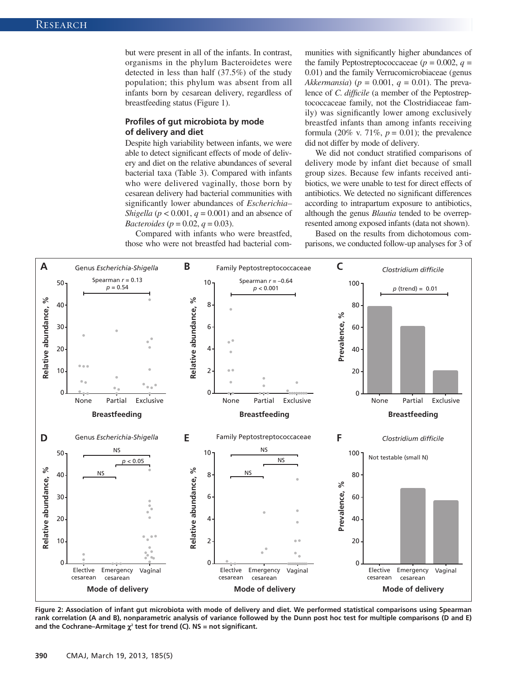but were present in all of the infants. In contrast, organisms in the phylum Bacteroidetes were detected in less than half (37.5%) of the study population; this phylum was absent from all infants born by cesarean delivery, regardless of breastfeeding status (Figure 1).

#### **Profiles of gut microbiota by mode of delivery and diet**

Despite high variability between infants, we were able to detect significant effects of mode of delivery and diet on the relative abundances of several bacterial taxa (Table 3). Compared with infants who were delivered vaginally, those born by cesarean delivery had bacterial communities with significantly lower abundances of *Escherichia– Shigella* ( $p < 0.001$ ,  $q = 0.001$ ) and an absence of *Bacteroides* (*p* = 0.02, *q* = 0.03).

Compared with infants who were breastfed, those who were not breastfed had bacterial communities with significantly higher abundances of the family Peptostreptococcaceae ( $p = 0.002$ ,  $q =$ 0.01) and the family Verrucomicrobiaceae (genus *Akkermansia*) ( $p = 0.001$ ,  $q = 0.01$ ). The prevalence of *C. difficile* (a member of the Peptostreptococcaceae family, not the Clostridiaceae family) was significantly lower among exclusively breastfed infants than among infants receiving formula (20% v. 71%,  $p = 0.01$ ); the prevalence did not differ by mode of delivery.

We did not conduct stratified comparisons of delivery mode by infant diet because of small group sizes. Because few infants received antibiotics, we were unable to test for direct effects of antibiotics. We detected no significant differences according to intrapartum exposure to antibiotics, although the genus *Blautia* tended to be overrepresented among exposed infants (data not shown).

Based on the results from dichotomous comparisons, we conducted follow-up analyses for 3 of



Figure 2: Association of infant gut microbiota with mode of delivery and diet. We performed statistical comparisons using Spearman rank correlation (A and B), nonparametric analysis of variance followed by the Dunn post hoc test for multiple comparisons (D and E) **and the Cochrane–Armitage** χ**<sup>2</sup> test for trend (C). NS = not significant.**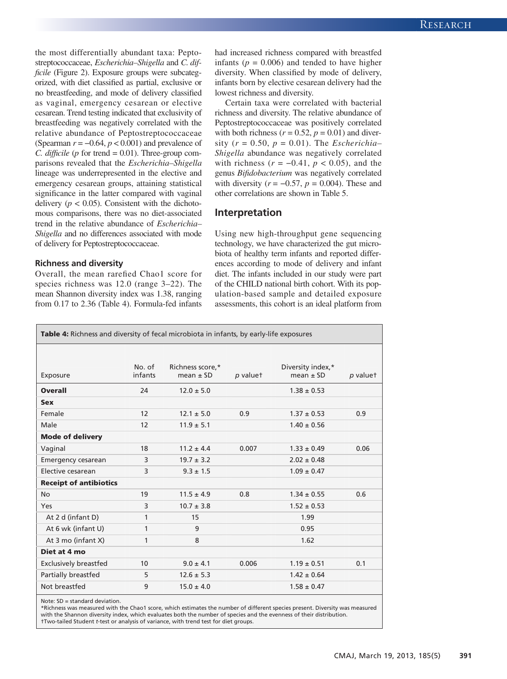the most differentially abundant taxa: Peptostreptococcaceae, *Escherichia–Shigella* and *C. difficile* (Figure 2). Exposure groups were subcategorized, with diet classified as partial, exclusive or no breastfeeding, and mode of delivery classified as vaginal, emergency cesarean or elective cesarean. Trend testing indicated that exclusivity of breastfeeding was negatively correlated with the relative abundance of Peptostreptococcaceae (Spearman *r* = −0.64, *p* < 0.001) and prevalence of *C. difficile* ( $p$  for trend = 0.01). Three-group comparisons revealed that the *Escherichia–Shigella* lineage was underrepresented in the elective and emergency cesarean groups, attaining statistical significance in the latter compared with vaginal delivery  $(p < 0.05)$ . Consistent with the dichotomous comparisons, there was no diet-associated trend in the relative abundance of *Escherichia– Shigella* and no differences associated with mode of delivery for Peptostreptococcaceae.

#### **Richness and diversity**

Overall, the mean rarefied Chao1 score for species richness was 12.0 (range 3–22). The mean Shannon diversity index was 1.38, ranging from 0.17 to 2.36 (Table 4). Formula-fed infants had increased richness compared with breastfed infants ( $p = 0.006$ ) and tended to have higher diversity. When classified by mode of delivery, infants born by elective cesarean delivery had the lowest richness and diversity.

Certain taxa were correlated with bacterial richness and diversity. The relative abundance of Peptostreptococcaceae was positively correlated with both richness ( $r = 0.52$ ,  $p = 0.01$ ) and diversity (*r* = 0.50, *p* = 0.01). The *Escherichia– Shigella* abundance was negatively correlated with richness ( $r = -0.41$ ,  $p < 0.05$ ), and the genus *Bifidobacterium* was negatively correlated with diversity  $(r = -0.57, p = 0.004)$ . These and other correlations are shown in Table 5.

## **Interpretation**

Using new high-throughput gene sequencing technology, we have characterized the gut microbiota of healthy term infants and reported differences according to mode of delivery and infant diet. The infants included in our study were part of the CHILD national birth cohort. With its population-based sample and detailed exposure assessments, this cohort is an ideal platform from

| Table 4: Richness and diversity of fecal microbiota in infants, by early-life exposures |                   |                                   |          |                                    |          |  |  |
|-----------------------------------------------------------------------------------------|-------------------|-----------------------------------|----------|------------------------------------|----------|--|--|
| Exposure                                                                                | No. of<br>infants | Richness score,*<br>$mean \pm SD$ | p valuet | Diversity index,*<br>$mean \pm SD$ | p valuet |  |  |
| <b>Overall</b>                                                                          | 24                | $12.0 \pm 5.0$                    |          | $1.38 \pm 0.53$                    |          |  |  |
| <b>Sex</b>                                                                              |                   |                                   |          |                                    |          |  |  |
| Female                                                                                  | 12                | $12.1 \pm 5.0$                    | 0.9      | $1.37 \pm 0.53$                    | 0.9      |  |  |
| Male                                                                                    | 12                | $11.9 \pm 5.1$                    |          | $1.40 \pm 0.56$                    |          |  |  |
| <b>Mode of delivery</b>                                                                 |                   |                                   |          |                                    |          |  |  |
| Vaginal                                                                                 | 18                | $11.2 \pm 4.4$                    | 0.007    | $1.33 \pm 0.49$                    | 0.06     |  |  |
| Emergency cesarean                                                                      | 3                 | $19.7 \pm 3.2$                    |          | $2.02 \pm 0.48$                    |          |  |  |
| Elective cesarean                                                                       | 3                 | $9.3 \pm 1.5$                     |          | $1.09 \pm 0.47$                    |          |  |  |
| <b>Receipt of antibiotics</b>                                                           |                   |                                   |          |                                    |          |  |  |
| <b>No</b>                                                                               | 19                | $11.5 \pm 4.9$                    | 0.8      | $1.34 \pm 0.55$                    | 0.6      |  |  |
| Yes                                                                                     | 3                 | $10.7 \pm 3.8$                    |          | $1.52 \pm 0.53$                    |          |  |  |
| At 2 d (infant D)                                                                       | $\mathbf{1}$      | 15                                |          | 1.99                               |          |  |  |
| At 6 wk (infant U)                                                                      | $\mathbf{1}$      | 9                                 |          | 0.95                               |          |  |  |
| At 3 mo (infant $X$ )                                                                   | 1                 | 8                                 |          | 1.62                               |          |  |  |
| Diet at 4 mo                                                                            |                   |                                   |          |                                    |          |  |  |
| <b>Exclusively breastfed</b>                                                            | 10                | $9.0 \pm 4.1$                     | 0.006    | $1.19 \pm 0.51$                    | 0.1      |  |  |
| Partially breastfed                                                                     | 5                 | $12.6 \pm 5.3$                    |          | $1.42 \pm 0.64$                    |          |  |  |
| Not breastfed                                                                           | 9                 | $15.0 \pm 4.0$                    |          | $1.58 \pm 0.47$                    |          |  |  |

Note: SD = standard deviation.

\*Richness was measured with the Chao1 score, which estimates the number of different species present. Diversity was measured with the Shannon diversity index, which evaluates both the number of species and the evenness of their distribution. †Two-tailed Student *t*-test or analysis of variance, with trend test for diet groups.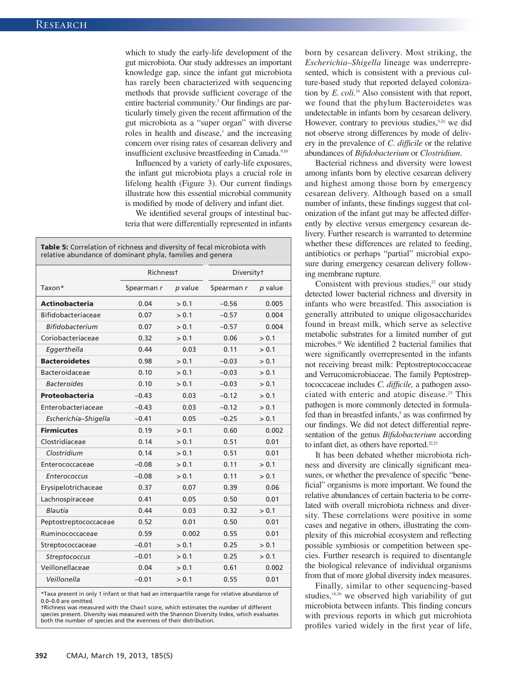which to study the early-life development of the gut microbiota. Our study addresses an important knowledge gap, since the infant gut microbiota has rarely been characterized with sequencing methods that provide sufficient coverage of the entire bacterial community. <sup>3</sup> Our findings are particularly timely given the recent affirmation of the gut microbiota as a "super organ" with diverse roles in health and disease, <sup>1</sup> and the increasing concern over rising rates of cesarean delivery and insufficient exclusive breastfeeding in Canada. 9,10

Influenced by a variety of early-life exposures, the infant gut microbiota plays a crucial role in lifelong health (Figure 3). Our current findings illustrate how this essential microbial community is modified by mode of delivery and infant diet.

We identified several groups of intestinal bacteria that were differentially represented in infants

| relative abundance of dominant phyla, families and genera |                  |         |                        |         |  |  |  |
|-----------------------------------------------------------|------------------|---------|------------------------|---------|--|--|--|
|                                                           | <b>Richnesst</b> |         | Diversity <sup>+</sup> |         |  |  |  |
| Taxon*                                                    | Spearman r       | p value | Spearman r             | p value |  |  |  |
| <b>Actinobacteria</b>                                     | 0.04             | > 0.1   | $-0.56$                | 0.005   |  |  |  |
| Bifidobacteriaceae                                        | 0.07             | > 0.1   | $-0.57$                | 0.004   |  |  |  |
| Bifidobacterium                                           | 0.07             | > 0.1   | $-0.57$                | 0.004   |  |  |  |
| Coriobacteriaceae                                         | 0.32             | > 0.1   | 0.06                   | > 0.1   |  |  |  |
| Eggerthella                                               | 0.44             | 0.03    | 0.11                   | > 0.1   |  |  |  |
| <b>Bacteroidetes</b>                                      | 0.98             | > 0.1   | $-0.03$                | > 0.1   |  |  |  |
| Bacteroidaceae                                            | 0.10             | > 0.1   | $-0.03$                | > 0.1   |  |  |  |
| <b>Bacteroides</b>                                        | 0.10             | > 0.1   | $-0.03$                | > 0.1   |  |  |  |
| Proteobacteria                                            | $-0.43$          | 0.03    | $-0.12$                | > 0.1   |  |  |  |
| Enterobacteriaceae                                        | $-0.43$          | 0.03    | $-0.12$                | > 0.1   |  |  |  |
| Escherichia-Shigella                                      | $-0.41$          | 0.05    | $-0.25$                | > 0.1   |  |  |  |
| <b>Firmicutes</b>                                         | 0.19             | > 0.1   | 0.60                   | 0.002   |  |  |  |
| Clostridiaceae                                            | 0.14             | > 0.1   | 0.51                   | 0.01    |  |  |  |
| Clostridium                                               | 0.14             | > 0.1   | 0.51                   | 0.01    |  |  |  |
| Enterococcaceae                                           | $-0.08$          | > 0.1   | 0.11                   | > 0.1   |  |  |  |
| Enterococcus                                              | $-0.08$          | > 0.1   | 0.11                   | > 0.1   |  |  |  |
| Erysipelotrichaceae                                       | 0.37             | 0.07    | 0.39                   | 0.06    |  |  |  |
| Lachnospiraceae                                           | 0.41             | 0.05    | 0.50                   | 0.01    |  |  |  |
| Blautia                                                   | 0.44             | 0.03    | 0.32                   | > 0.1   |  |  |  |
| Peptostreptococcaceae                                     | 0.52             | 0.01    | 0.50                   | 0.01    |  |  |  |
| Ruminococcaceae                                           | 0.59             | 0.002   | 0.55                   | 0.01    |  |  |  |
| Streptococcaceae                                          | $-0.01$          | > 0.1   | 0.25                   | > 0.1   |  |  |  |
| Streptococcus                                             | $-0.01$          | > 0.1   | 0.25                   | > 0.1   |  |  |  |
| Veillonellaceae                                           | 0.04             | > 0.1   | 0.61                   | 0.002   |  |  |  |
| Veillonella                                               | $-0.01$          | > 0.1   | 0.55                   | 0.01    |  |  |  |
|                                                           |                  |         |                        |         |  |  |  |

**Table 5:** Correlation of richness and diversity of fecal microbiota with

\*Taxa present in only 1 infant or that had an interquartile range for relative abundance of 0.0–0.0 are omitted.

†Richness was measured with the Chao1 score, which estimates the number of different species present. Diversity was measured with the Shannon Diversity Index, which evaluates both the number of species and the evenness of their distribution.

born by cesarean delivery. Most striking, the *Escherichia–Shigella* lineage was underrepresented, which is consistent with a previous culture-based study that reported delayed colonization by *E. coli*. <sup>24</sup> Also consistent with that report, we found that the phylum Bacteroidetes was undetectable in infants born by cesarean delivery. However, contrary to previous studies,<sup>5,24</sup> we did not observe strong differences by mode of delivery in the prevalence of *C. difficile* or the relative abundances of *Bifidobacterium* or *Clostridium*.

Bacterial richness and diversity were lowest among infants born by elective cesarean delivery and highest among those born by emergency cesarean delivery. Although based on a small number of infants, these findings suggest that colonization of the infant gut may be affected differently by elective versus emergency cesarean delivery. Further research is warranted to determine whether these differences are related to feeding, antibiotics or perhaps "partial" microbial exposure during emergency cesarean delivery following membrane rupture.

Consistent with previous studies, <sup>22</sup> our study detected lower bacterial richness and diversity in infants who were breastfed. This association is generally attributed to unique oligosaccharides found in breast milk, which serve as selective metabolic substrates for a limited number of gut microbes. <sup>28</sup> We identified 2 bacterial families that were significantly overrepresented in the infants not receiving breast milk: Peptostreptococcaceae and Verrucomicrobiaceae. The family Peptostreptococcaceae includes *C. difficile,* a pathogen associated with enteric and atopic disease. <sup>25</sup> This pathogen is more commonly detected in formulafed than in breastfed infants, <sup>5</sup> as was confirmed by our findings. We did not detect differential representation of the genus *Bifidobacterium* according to infant diet, as others have reported.<sup>22,23</sup>

It has been debated whether microbiota richness and diversity are clinically significant measures, or whether the prevalence of specific "beneficial" organisms is more important. We found the relative abundances of certain bacteria to be correlated with overall microbiota richness and diversity. These correlations were positive in some cases and negative in others, illustrating the complexity of this microbial ecosystem and reflecting possible symbiosis or competition between species. Further research is required to disentangle the biological relevance of individual organisms from that of more global diversity index measures.

Finally, similar to other sequencing-based studies,<sup>18,26</sup> we observed high variability of gut microbiota between infants. This finding concurs with previous reports in which gut microbiota profiles varied widely in the first year of life,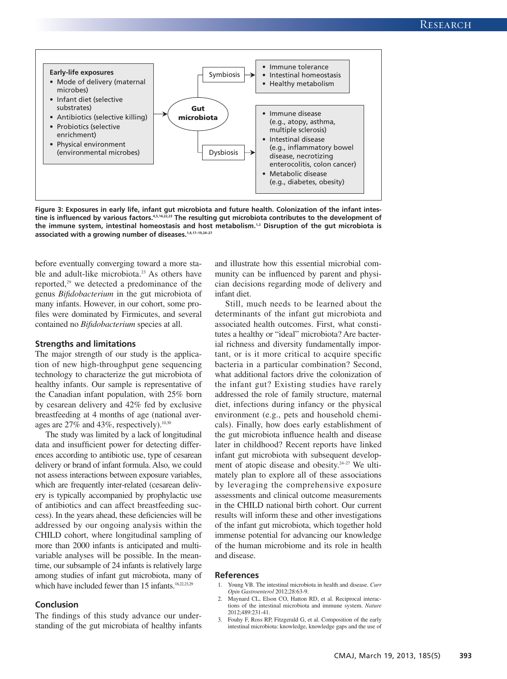

Figure 3: Exposures in early life, infant gut microbiota and future health. Colonization of the infant intestine is influenced by various factors.<sup>4,5,14,22,23</sup> The resulting gut microbiota contributes to the development of **the immune system, intestinal homeostasis and host metabolism. 1,2 Disruption of the gut microbiota is associated with a growing number of diseases. 1,4,17–19,24–27**

before eventually converging toward a more stable and adult-like microbiota. <sup>23</sup> As others have reported, <sup>29</sup> we detected a predominance of the genus *Bifidobacterium* in the gut microbiota of many infants. However, in our cohort, some profiles were dominated by Firmicutes, and several contained no *Bifidobacterium* species at all.

#### **Strengths and limitations**

The major strength of our study is the application of new high-throughput gene sequencing technology to characterize the gut microbiota of healthy infants. Our sample is representative of the Canadian infant population, with 25% born by cesarean delivery and 42% fed by exclusive breastfeeding at 4 months of age (national averages are 27% and 43%, respectively).<sup>10,30</sup>

The study was limited by a lack of longitudinal data and insufficient power for detecting differences according to antibiotic use, type of cesarean delivery or brand of infant formula. Also, we could not assess interactions between exposure variables, which are frequently inter-related (cesarean delivery is typically accompanied by prophylactic use of antibiotics and can affect breastfeeding success). In the years ahead, these deficiencies will be addressed by our ongoing analysis within the CHILD cohort, where longitudinal sampling of more than 2000 infants is anticipated and multivariable analyses will be possible. In the meantime, our subsample of 24 infants is relatively large among studies of infant gut microbiota, many of which have included fewer than 15 infants.<sup>18,22,23,29</sup>

#### **Conclusion**

The findings of this study advance our understanding of the gut microbiata of healthy infants

and illustrate how this essential microbial community can be influenced by parent and physician decisions regarding mode of delivery and infant diet.

Still, much needs to be learned about the determinants of the infant gut microbiota and associated health outcomes. First, what constitutes a healthy or "ideal" microbiota? Are bacterial richness and diversity fundamentally important, or is it more critical to acquire specific bacteria in a particular combination? Second, what additional factors drive the colonization of the infant gut? Existing studies have rarely addressed the role of family structure, maternal diet, infections during infancy or the physical environment (e.g., pets and household chemicals). Finally, how does early establishment of the gut microbiota influence health and disease later in childhood? Recent reports have linked infant gut microbiota with subsequent development of atopic disease and obesity. 24–27 We ultimately plan to explore all of these associations by leveraging the comprehensive exposure assessments and clinical outcome measurements in the CHILD national birth cohort. Our current results will inform these and other investigations of the infant gut microbiota, which together hold immense potential for advancing our knowledge of the human microbiome and its role in health and disease.

#### **References**

- 1. Young VB. The intestinal microbiota in health and disease. *Curr Opin Gastroenterol* 2012;28:63-9.
- 2. Maynard CL, Elson CO, Hatton RD, et al. Reciprocal interactions of the intestinal microbiota and immune system. *Nature* 2012;489:231-41.
- 3. Fouhy F, Ross RP, Fitzgerald G, et al. Composition of the early intestinal microbiota: knowledge, knowledge gaps and the use of